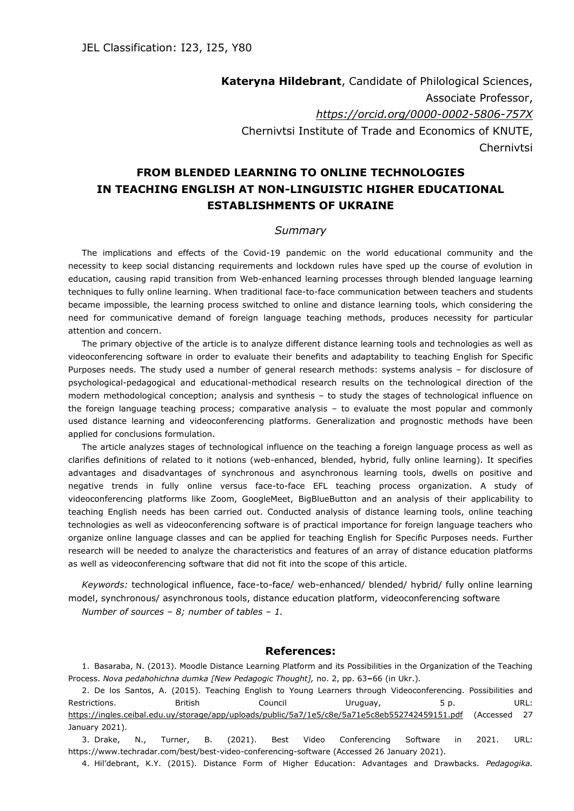**Kateryna Hildebrant**, Candidate of Philological Sciences, Associate Professor, *<https://orcid.org/0000-0002-5806-757X>* Chernivtsi Institute of Trade and Economics of KNUTE, Chernivtsi

## **FROM BLENDED LEARNING TO ONLINE TECHNOLOGIES IN TEACHING ENGLISH AT NON-LINGUISTIC HIGHER EDUCATIONAL ESTABLISHMENTS OF UKRAINE**

## *Summary*

The implications and effects of the Covid-19 pandemic on the world educational community and the necessity to keep social distancing requirements and lockdown rules have sped up the course of evolution in education, causing rapid transition from Web-enhanced learning processes through blended language learning techniques to fully online learning. When traditional face-to-face communication between teachers and students became impossible, the learning process switched to online and distance learning tools, which considering the need for communicative demand of foreign language teaching methods, produces necessity for particular attention and concern.

The primary objective of the article is to analyze different distance learning tools and technologies as well as videoconferencing software in order to evaluate their benefits and adaptability to teaching English for Specific Purposes needs. The study used a number of general research methods: systems analysis – for disclosure of psychological-pedagogical and educational-methodical research results on the technological direction of the modern methodological conception; analysis and synthesis – to study the stages of technological influence on the foreign language teaching process; comparative analysis – to evaluate the most popular and commonly used distance learning and videoconferencing platforms. Generalization and prognostic methods have been applied for conclusions formulation.

The article analyzes stages of technological influence on the teaching a foreign language process as well as clarifies definitions of related to it notions (web-enhanced, blended, hybrid, fully online learning). It specifies advantages and disadvantages of synchronous and asynchronous learning tools, dwells on positive and negative trends in fully online versus face-to-face EFL teaching process organization. A study of videoconferencing platforms like Zoom, GoogleMeet, BigBlueButton and an analysis of their applicability to teaching English needs has been carried out. Conducted analysis of distance learning tools, online teaching technologies as well as videoconferencing software is of practical importance for foreign language teachers who organize online language classes and can be applied for teaching English for Specific Purposes needs. Further research will be needed to analyze the characteristics and features of an array of distance education platforms as well as videoconferencing software that did not fit into the scope of this article.

*Keywords:* technological influence, face-to-face/ web-enhanced/ blended/ hybrid/ fully online learning model, synchronous/ asynchronous tools, distance education platform, videoconferencing software *Number of sources – 8; number of tables – 1.*

## **References:**

1. Basaraba, N. (2013). Moodle Distance Learning Platform and its Possibilities in the Organization of the Teaching Process. *Nova pedahohichna dumka [New Pedagogic Thought],* no. 2, pp. 63**–**66 (in Ukr.).

2. De los Santos, A. (2015). Teaching English to Young Learners through Videoconferencing. Possibilities and Restrictions. British Council Uruguay, 5 p. URL: <https://ingles.ceibal.edu.uy/storage/app/uploads/public/5a7/1e5/c8e/5a71e5c8eb552742459151.pdf> (Accessed 27 January 2021).

3. Drake, N., Turner, B. (2021). Best Video Conferencing Software in 2021. URL: https://www.techradar.com/best/best-video-conferencing-software (Accessed 26 January 2021).

4. Hil'debrant, K.Y. (2015). Distance Form of Higher Education: Advantages and Drawbacks. *Pedagogika.*